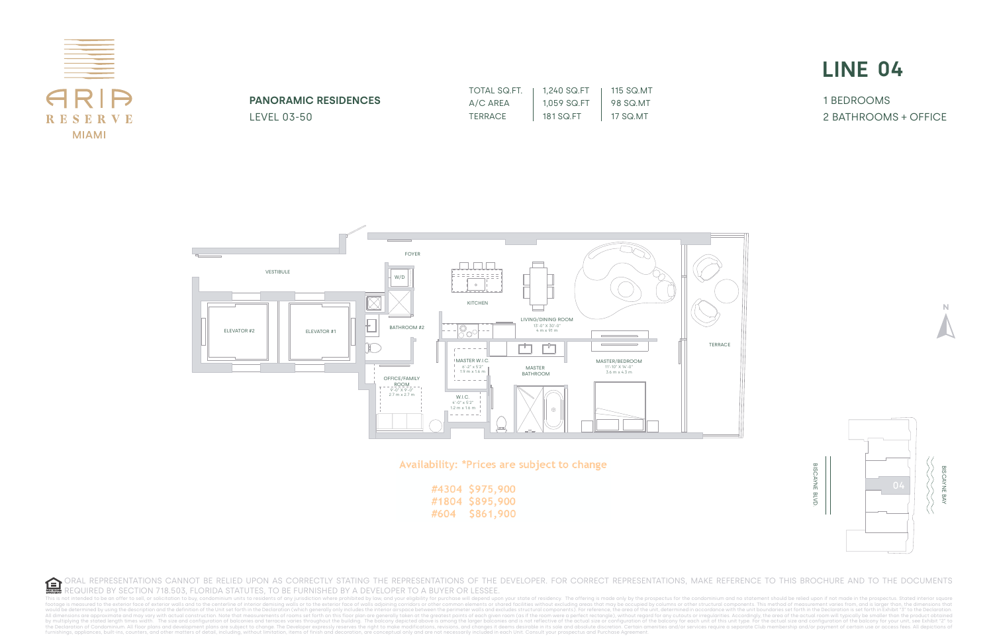This is not intended to be an offer to sell, or solicitation to buy, condominium units to residents of any iurisdiction where prohibited by law, and your eligibility for purchase will depend upon your state of residency. T footage is measured to the exterior face of exterior walls and to the centerline of interior demising walls or to the exterior demising walls or to the exterior face of walls adjoining corridors or other common elements or All dimensions are approximate and may vary with actual construction. Note that measurements of rooms set forth on this floor plan are generally taken at the greatest points of each given room vere a perfect rectangle), wi the Declaration of Condominium. All floor plans and development plans are subject to change. The Developer expressly reserves the right to make modifications, revisions, and changes it deems desirable in its sole and absol



|      | #4304 \$975,900 |
|------|-----------------|
|      | #1804 \$895,900 |
| #604 | \$861,900       |

1 BEDROOMS 2 BATHROOMS + OFFICE

| TOTAL SQ.FT. | 1.240 SQ.FT | 115 SQ.MT |
|--------------|-------------|-----------|
| A/C AREA     | 1.059 SQ.FT | 98 SQ MT  |
| TERRACE      | 181 SQ.FT   | 17 SQ MT  |





| <b>PANORAMIC RESIDENCES</b> |  |
|-----------------------------|--|
| LEVEL 03-50                 |  |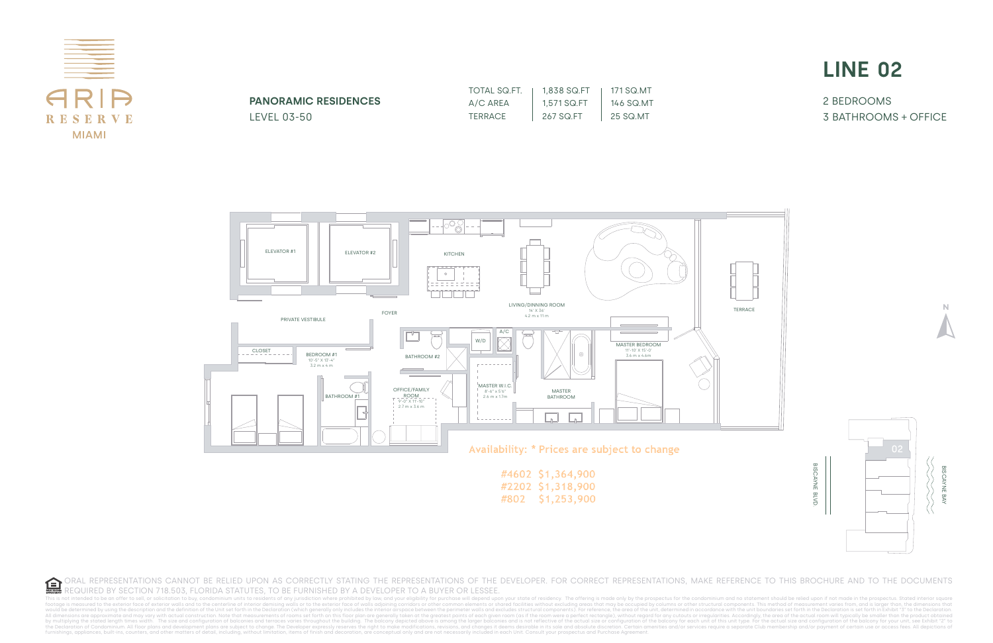This is not intended to be an offer to sell, or solicitation to buy, condominium units to residents of any jurisdiction where prohibited by law, and your eligibility for purchase will depend upon your state of residency. T footage is measured to the exterior face of exterior walls and to the centerline of interior demising walls or to the exterior redustand to the centerline of interior demising walls or to the exterior face of walls adjoini would be determined by using the description and the definition of the Unit set forth in the Declaration (which generally only includes the interior airspace between the perimeter walls and excludes structural components). All dimensions are approximate and may vary with actual construction. Note that measurements of rooms set forth on this floor plan are generally taken at the greatest points of each given room vere a perfect rectangle), wi the Declaration of Condominium. All floor plans and development plans are subject to change. The Developer expressly reserves the right to make modifications, revisions, and changes it deems desirable in its sole and absol



2 BEDROOMS 3 BATHROOMS + OFFICE

| TOTAL SQ.FT. | 1,838 SQ.FT | 171 SQ.MT |
|--------------|-------------|-----------|
| A/C AREA     | 1.571 SQ.FT | 146 SQ.MT |
| TERRACE      | 267 SQ.FT   | 25 SQ.MT  |





**PANORAMIC RESIDENCES** LEVEL 03-50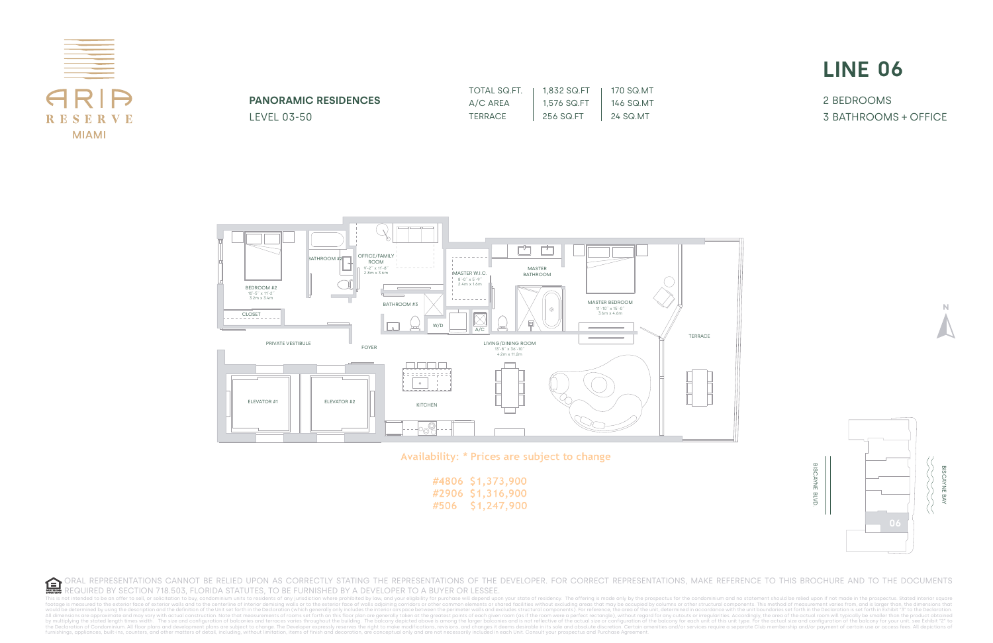

This is not intended to be an offer to sell, or solicitation to buy, condominium units to residents of any iurisdiction where prohibited by law, and your eligibility for purchase will depend upon you footage is measured to the exterior face of exterior walls and to the centerline of interior demising walls are to the exterior andissement varias or other serior face of walls and ownells are for the content in the Declar space between the perimeter walls and excludes structural components). For reference, the area of the unit, determined in accordance with the unit, boundaries set forth in the Declaration is set forth in Exhibit "3" to the All dimensions are approximate and may vary with actual construction. Note that measurements of rooms set forth on this floor plan are generally taken at the greatest points of each given room (as if the room were a perfec by multiplying the stated length times width. The size and configuration of balconies and terraces varies throughout the building. The balcony depicted above is among the larger balconies and is not reflective of the actua the Declaration of Condominium. All floor plans and development plans are subject to change. The Developer expressly reserves the right to make modifications, revisions, and changes it deems desirable in its sole and absol



Availability: \* Prices are subject to change

|      | #4806 \$1,373,900 |
|------|-------------------|
|      | #2906 \$1,316,900 |
| #506 | \$1,247,900       |

2 BEDROOMS 3 BATHROOMS + OFFICE

| TOTAL SQ.FT.   | 1.832 SQ.FT | 170 SQ.MT |
|----------------|-------------|-----------|
| A/C AREA       | 1,576 SQ.FT | 146 SQ.MT |
| <b>TERRACE</b> | 256 SQ.FT   | 24 SQ.MT  |





**PANORAMIC RESIDENCES** LEVEL 03-50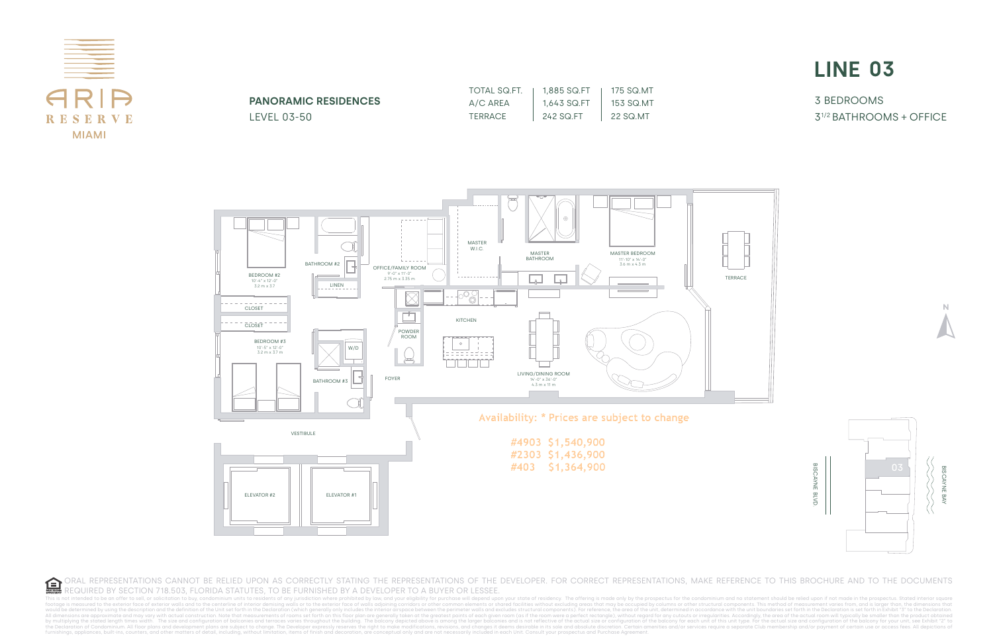This is not intended to be an offer to sell, or solicitation to buy, condominium units to residents of any iurisdiction where prohibited by law, and your eligibility for purchase will depend upon your state of residency footage is measured to the exterior face of exterior walls and to the centerline of interior demising walls or to the exterior remising walls or to the exterior face of walls adjoining corridors or other common elements or would be determined by using the description and the definition of the Unit set forth in the Declaration (which generally only includes the interior airspace between the perimeter walls and excludes structural components). All dimensions are approximate and may vary with actual construction. Note that measurements of rooms set forth on this floor plan are generally taken at the greatest points of each given room (as if the room were a perfec by multiplying the stated length times width. The size and configuration of balconies and terraces varies throughout the building. The balcony depicted above is among the larger balconies and is not reflective of the actua the Declaration of Condominium. All floor plans and development plans are subject to change. The Developer expressly reserves the right to make modifications, revisions, and changes it deems desirable in its sole and absol



3 BEDROOMS 31/2 BATHROOMS + OFFICE

| TOTAL SQ.FT.   | 1,885 SQ.FT | 175 SQ.MT |
|----------------|-------------|-----------|
| A/C AREA       | 1.643 SQ.FT | 153 SQ.MT |
| <b>TERRACE</b> | 242 SQ.FT   | 22 SQ.MT  |





# **PANORAMIC RESIDENCES**

LEVEL 03-50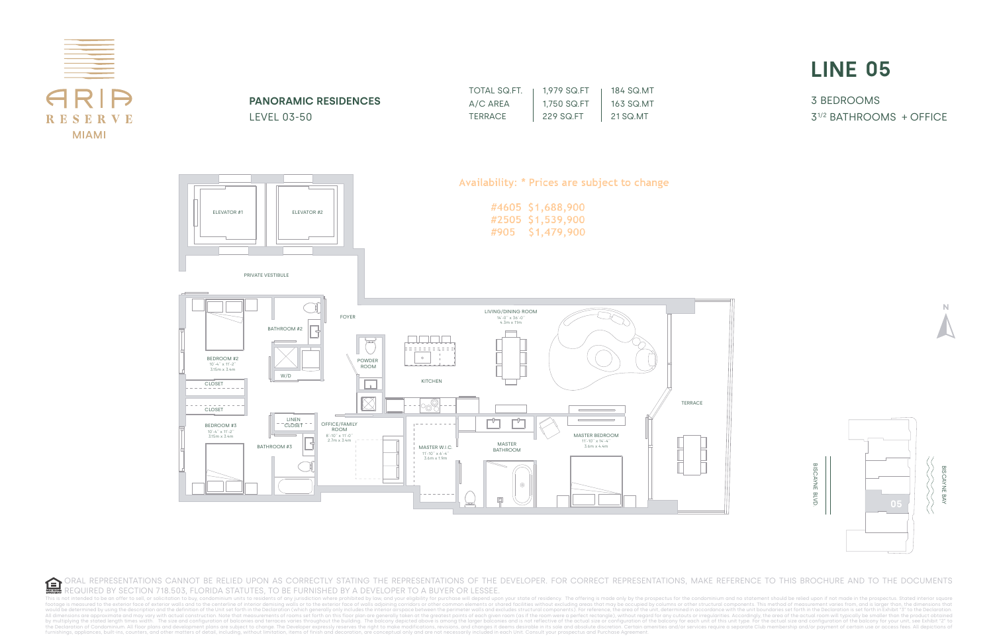

This is not intended to be an offer to sell, or solicitation to buy, condominium units to residents of any iurisdiction where prohibited by law, and your eligibility for purchase will depend upon your state of residency. T footage is measured to the exterior face of exterior walls and to the centerline of interior demising walls or to the exterior remising walls or to the exterior face of walls adjoining corridors or other common elements or would be determined by using the description and the definition of the Unit set forth in the Declaration (which generally only includes the interior airspace between the perimeter walls and excludes structural components). All dimensions are approximate and may vary with actual construction. Note that measurements of rooms set forth on this floor plan are generally taken at the greatest points of each given room (as if the room were a perfec by multiplying the stated length times width. The size and configuration of balconies and terraces varies throughout the building. The balcony depicted above is among the larger balconies and is not reflective of the actua the Declaration of Condominium. All floor plans and development plans are subject to change. The Developer expressly reserves the right to make modifications, revisions, and changes it deems desirable in its sole and absol



3 BEDROOMS 31/2 BATHROOMS + OFFICE



| TOTAL SQ.FT. | 1,979 SQ.FT | 184 SQ MT |
|--------------|-------------|-----------|
| A/C AREA     | 1.750 SQ.FT | 163 SQ MT |
| TERRACE      | 229 SQ FT   | 21 SQ.MT  |





**PANORAMIC RESIDENCES** LEVEL 03-50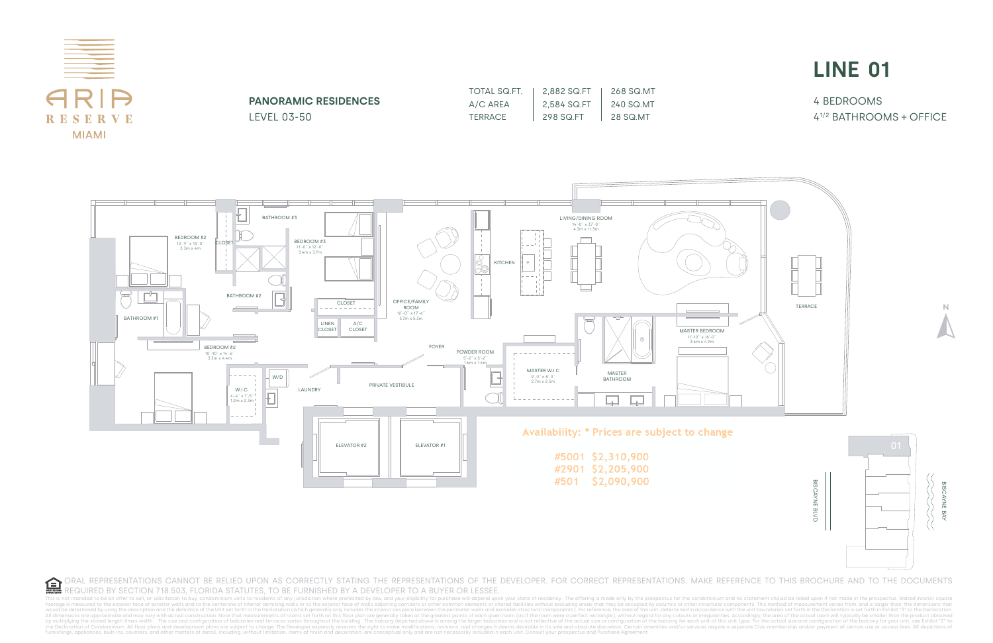This is not intended to be an offer to sell, or solicitation to buy, condominium units to residents of any iurisdiction where prohibited by law, and your eligibility for purchase will depend upon footage is measured to the exterior face of exterior walls and to the centerline of interior demising walls or to the exterior remising walls or to the exterior face of walls adjoining corridors or other common elements or nace between the perimeter walls and excludes structural components). For reference, the grea of the unit, determined in accordance with the unit, boundaries set forth in the Declaration is set forth in Exhibit "3" to the All dimensions are approximate and may vary with actual construction. Note that measurements of rooms set forth on this floor plan are generally taken at the greatest points of each given room (as if the room were a perfec by multiplying the stated length times width. The size and configuration of balconies and terraces varies throughout the building. The balcony depicted above is among the larger balconies and is not reflective of the actua the Declaration of Condominium. All floor plans and development plans are subject to change. The Developer expressly reserves the right to make modifications, revisions, and changes it deems desirable in its sole and absol



4 BEDROOMS 41/2 BATHROOMS + OFFICE

TOTAL SQ.FT. A/C AREA **TERRACE** 2,882 SQ.FT 2,584 SQ.FT 298 SQ.FT 268 SQ.MT 240 SQ.MT 28 SQ.MT





**PANORAMIC RESIDENCES**

LEVEL 03-50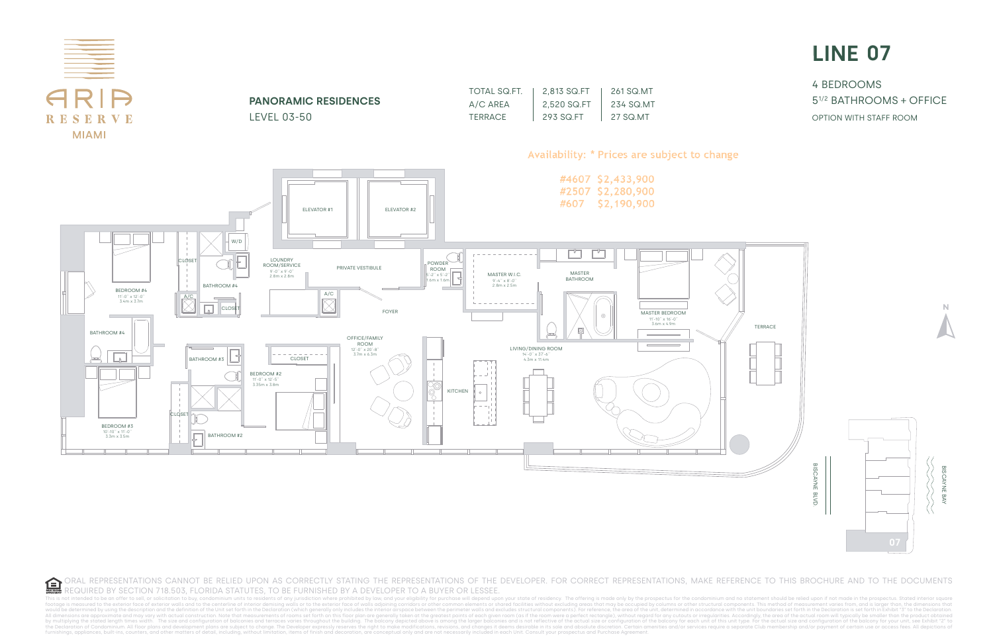This is not intended to be an offer to sell, or solicitation to buy, condominium units to residents of any iurisdiction where prohibited by law, and your eligibility for purchase will depend upon y footage is measured to the exterior face of exterior face of exterior walls and to the centerline of interior demissing walls or to the exterior andis and on the exterior face of walls and costed fraction face of walls and space between the perimeter walls and excludes structural components). For reference the grea of the unit, determined in accordance with the unit, boundaries set forth in the Declaration is set forth in Exhibit "3" to the All dimensions are approximate and may vary with actual construction. Note that measurements of rooms set forth on this floor plan are generally taken at the greatest points of each given room (as if the room were a perfec by multiplying the stated length times width. The size and configuration of balconies and terraces varies throughout the building. The balcony depicted above is among the larger balconies and is not reflective of the actua the Declaration of Condominium. All floor plans and development plans are subject to change. The Developer expressly reserves the right to make modifications, revisions, and changes it deems desirable in its sole and absol



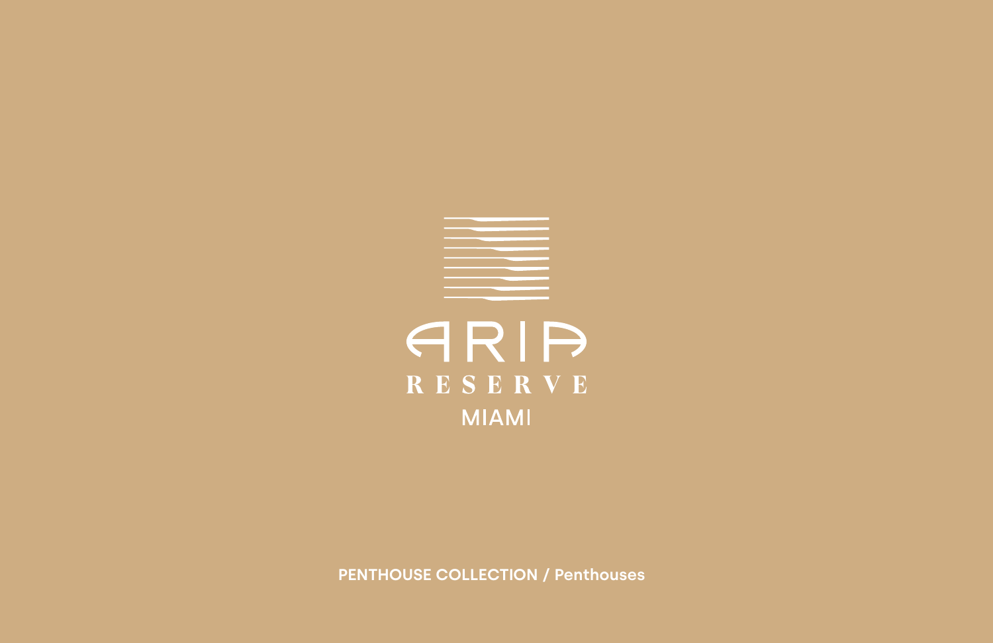# ARIA RESERVE **MIAMI**

**PENTHOUSE COLLECTION / Penthouses**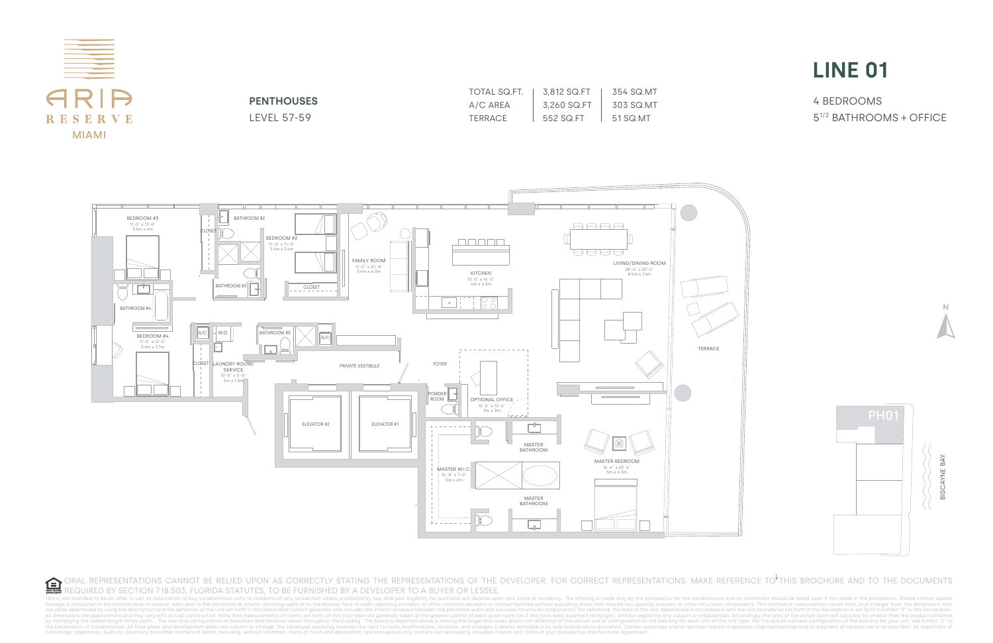

4 BEDROOMS 51/2 BATHROOMS + OFFICE





**PENTHOUSES** LEVEL 57-59

| TOTAL SQ.FT. | 3.812 SQ.FT | 354 SQ.MT |
|--------------|-------------|-----------|
| A/C AREA     | 3,260 SQ.FT | 303 SQ.MT |
| TERRACE      | 552 SQ FT   | 51 SQ MT  |

ORAL REPRESENTATIONS CANNOT BE RELIED UPON AS CORRECTLY STATING THE REPRESENTATIONS OF THE DEVELOPER. FOR CORRECT REPRESENTATIONS, MAKE REFERENCE TO THIS BROCHURE AND TO THE DOCUMENTS  $\mathbf{G}$ REQUIRED BY SECTION 718.503, FLORIDA STATUTES, TO BE FURNISHED BY A DEVELOPER TO A BUYER OR LESSEE.

This is not intended to be an offer to sell, or solicitation to buy, condominium units to residents of any jurisdiction where prohibited by law, and your eligibility for purchase will depend upon your state of residency. T footage is measured to the exterior face of exterior walls and to the centerline of interior demising walls or to the exterior redustand to the centerline of interior demising walls or to the exterior face of walls adjoini would be determined by using the description and the definition of the Unit set forth in the Declaration of the Unit set forth in the Declaration (which generally only includes the interior airspace between the perimeter w All dimensions are approximate and may vary with actual construction. Note that measurements of rooms set forth on this floor plan are generally taken at the greatest points of each given room vere a perfect rectangle), wi the Declaration of Condominium. All floor plans and development plans are subject to change. The Developer expressly reserves the right to make modifications, revisions, and changes it deems desirable in its sole and absol



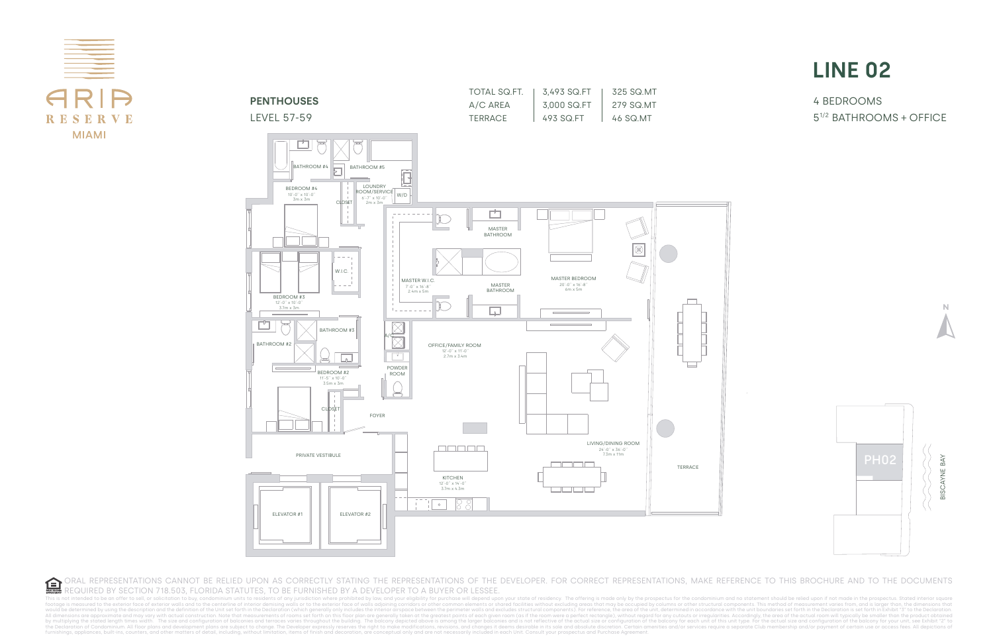4 BEDROOMS 51/2 BATHROOMS + OFFICE









 $\mathbf{G}$ ORAL REPRESENTATIONS CANNOT BE RELIED UPON AS CORRECTLY STATING THE REPRESENTATIONS OF THE DEVELOPER. FOR CORRECT REPRESENTATIONS, MAKE REFERENCE TO THIS BROCHURE AND TO THE DOCUMENTS REQUIRED BY SECTION 718.503, FLORIDA STATUTES, TO BE FURNISHED BY A DEVELOPER TO A BUYER OR LESSEE.

This is not intended to be an offer to sell, or solicitation to buy, condominium units to residents of any iurisdiction where prohibited by law, and your eligibility for purchase will depend upon your state of residency. T footage is measured to the exterior face of exterior walls and to the centerline of interior demising walls are to the exterior demising walls or to the exterior face of walls adjoining corridors or other common elements o rspace between the perimeter walls and excludes structural components). For reference, the area of the unit, determined in accordance with the unit boundaries set forth in the Declaration is set forth in Exhibit "3" to the All dimensions are approximate and may vary with actual construction. Note that measurements of rooms set forth on this floor plan are generally taken at the greatest points of each given room vere a perfect rectangle), wi the Declaration of Condominium. All floor plans and development plans are subject to change. The Developer expressly reserves the right to make modifications, revisions, and changes it deems desirable in its sole and absol

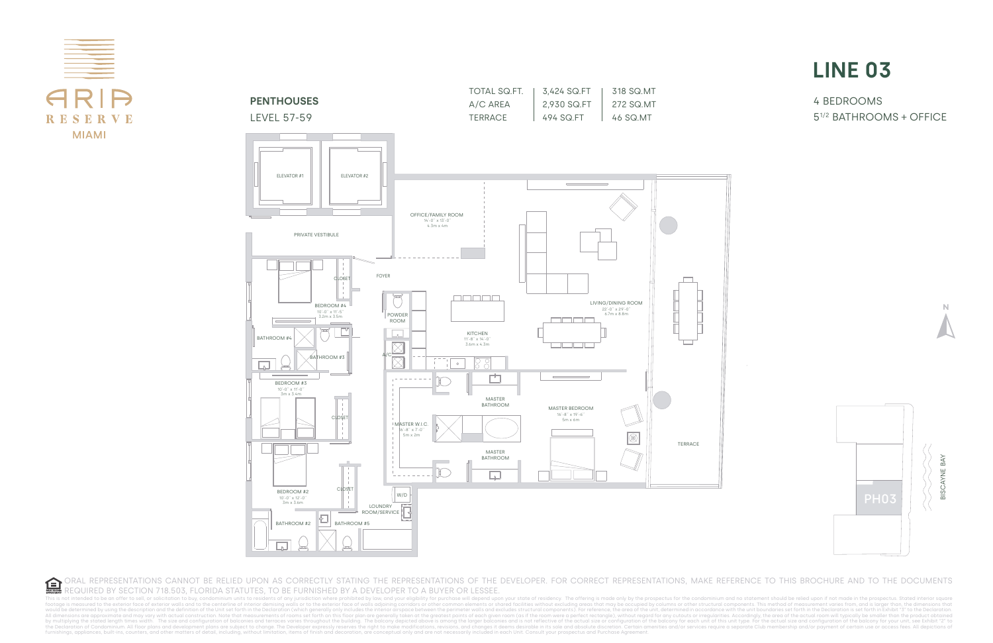

4 BEDROOMS 51/2 BATHROOMS + OFFICE







 $\mathbf{G}$ ORAL REPRESENTATIONS CANNOT BE RELIED UPON AS CORRECTLY STATING THE REPRESENTATIONS OF THE DEVELOPER. FOR CORRECT REPRESENTATIONS, MAKE REFERENCE TO THIS BROCHURE AND TO THE DOCUMENTS REQUIRED BY SECTION 718.503, FLORIDA STATUTES, TO BE FURNISHED BY A DEVELOPER TO A BUYER OR LESSEE.

This is not intended to be an offer to sell, or solicitation to buy, condominium units to residents of any iurisdiction where prohibited by law, and your eligibility for purchase will depend upon your state of residency. T footage is measured to the exterior face of exterior walls and to the centerline of interior demising walls or to the exterior redustand to the centerline of interior demising walls or to the exterior face of walls adjoini would be determined by using the description and the definition of the Unit set forth in the Declaration (which generally only includes the interior airspace between the perimeter walls and excludes structural components). All dimensions are approximate and may vary with actual construction. Note that measurements of rooms set forth on this floor plan are generally taken at the greatest points of each given room vere a perfect rectangle), wi the Declaration of Condominium. All floor plans and development plans are subject to change. The Developer expressly reserves the right to make modifications, revisions, and changes it deems desirable in its sole and absol